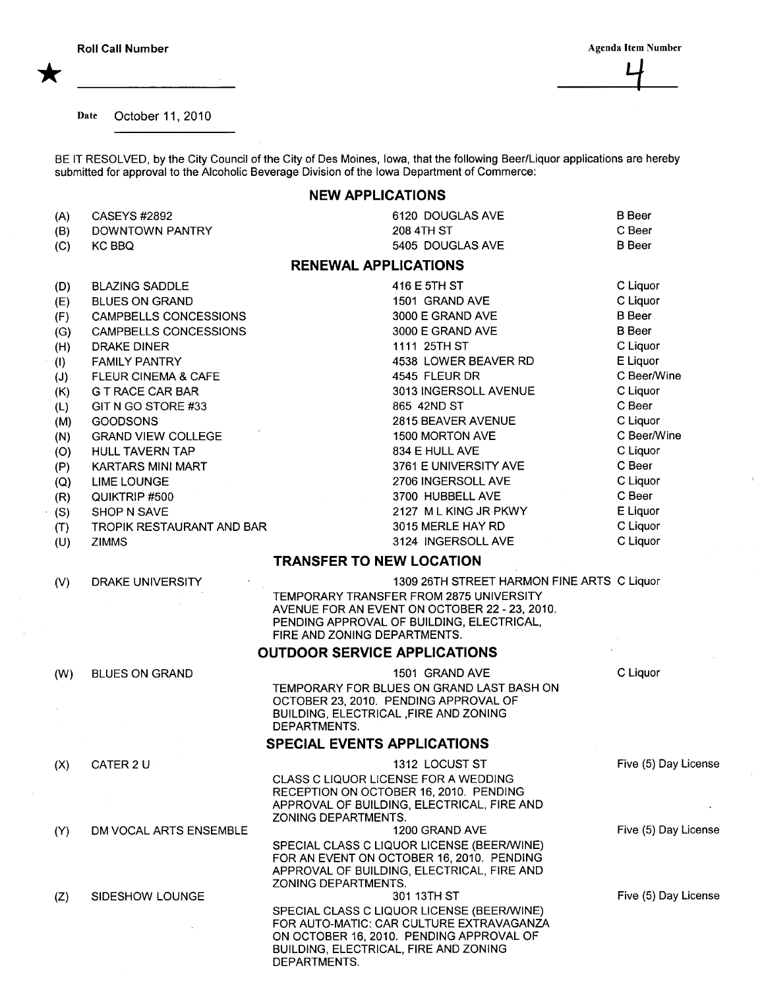Date October 11, 2010

BE IT RESOLVED, by the City Council of the City of Des Moines, Iowa, that the following Beer/Liquor applications are hereby submitted for approval to the Alcoholic Beverage Division of the Iowa Department of Commerce:

## NEW APPLICATIONS

| (A)<br>(B) | <b>CASEYS #2892</b><br>DOWNTOWN PANTRY | 6120 DOUGLAS AVE<br>208 4TH ST                                                                                                                                                              | <b>B</b> Beer<br>C Beer |
|------------|----------------------------------------|---------------------------------------------------------------------------------------------------------------------------------------------------------------------------------------------|-------------------------|
| (C)        | KC BBQ                                 | 5405 DOUGLAS AVE                                                                                                                                                                            | <b>B</b> Beer           |
|            |                                        | <b>RENEWAL APPLICATIONS</b>                                                                                                                                                                 |                         |
| (D)        | <b>BLAZING SADDLE</b>                  | 416 E 5TH ST                                                                                                                                                                                | C Liquor                |
| (E)        | <b>BLUES ON GRAND</b>                  | 1501 GRAND AVE                                                                                                                                                                              | C Liquor                |
| (F)        | CAMPBELLS CONCESSIONS                  | 3000 E GRAND AVE                                                                                                                                                                            | <b>B</b> Beer           |
| (G)        | <b>CAMPBELLS CONCESSIONS</b>           | 3000 E GRAND AVE                                                                                                                                                                            | <b>B</b> Beer           |
| (H)        | <b>DRAKE DINER</b>                     | 1111 25TH ST                                                                                                                                                                                | C Liquor                |
| (1)        | <b>FAMILY PANTRY</b>                   | 4538 LOWER BEAVER RD                                                                                                                                                                        | E Liquor                |
| (J)        | FLEUR CINEMA & CAFE                    | 4545 FLEUR DR                                                                                                                                                                               | C Beer/Wine             |
| (K)        | <b>G T RACE CAR BAR</b>                | 3013 INGERSOLL AVENUE                                                                                                                                                                       | C Liquor                |
| (L)        | GIT N GO STORE #33                     | 865 42ND ST                                                                                                                                                                                 | C Beer                  |
| (M)        | <b>GOODSONS</b>                        | 2815 BEAVER AVENUE                                                                                                                                                                          | C Liquor                |
| (N)        | <b>GRAND VIEW COLLEGE</b>              | 1500 MORTON AVE                                                                                                                                                                             | C Beer/Wine             |
|            | HULL TAVERN TAP                        | 834 E HULL AVE                                                                                                                                                                              | C Liquor                |
| (O)        |                                        |                                                                                                                                                                                             | C Beer                  |
| (P)        | <b>KARTARS MINI MART</b>               | 3761 E UNIVERSITY AVE                                                                                                                                                                       |                         |
| (Q)        | <b>LIME LOUNGE</b>                     | 2706 INGERSOLL AVE                                                                                                                                                                          | C Liquor                |
| (R)        | QUIKTRIP #500                          | 3700 HUBBELL AVE                                                                                                                                                                            | C Beer                  |
| (S)        | <b>SHOP N SAVE</b>                     | 2127 ML KING JR PKWY                                                                                                                                                                        | E Liquor                |
| (T)        | TROPIK RESTAURANT AND BAR              | 3015 MERLE HAY RD                                                                                                                                                                           | C Liquor                |
| (U)        | <b>ZIMMS</b>                           | 3124 INGERSOLL AVE                                                                                                                                                                          | C Liquor                |
|            |                                        | <b>TRANSFER TO NEW LOCATION</b>                                                                                                                                                             |                         |
| (V)        | DRAKE UNIVERSITY                       | 1309 26TH STREET HARMON FINE ARTS C Liquor                                                                                                                                                  |                         |
|            |                                        | TEMPORARY TRANSFER FROM 2875 UNIVERSITY<br>AVENUE FOR AN EVENT ON OCTOBER 22 - 23, 2010.<br>PENDING APPROVAL OF BUILDING, ELECTRICAL,<br>FIRE AND ZONING DEPARTMENTS.                       |                         |
|            |                                        | <b>OUTDOOR SERVICE APPLICATIONS</b>                                                                                                                                                         |                         |
| (W)        | <b>BLUES ON GRAND</b>                  | 1501 GRAND AVE                                                                                                                                                                              | C Liquor                |
|            |                                        | TEMPORARY FOR BLUES ON GRAND LAST BASH ON                                                                                                                                                   |                         |
|            |                                        | OCTOBER 23, 2010. PENDING APPROVAL OF                                                                                                                                                       |                         |
|            |                                        | BUILDING, ELECTRICAL , FIRE AND ZONING<br>DEPARTMENTS.                                                                                                                                      |                         |
|            |                                        | <b>SPECIAL EVENTS APPLICATIONS</b>                                                                                                                                                          |                         |
| (X)        | CATER 2 U                              | 1312 LOCUST ST                                                                                                                                                                              | Five (5) Day License    |
|            |                                        | CLASS C LIQUOR LICENSE FOR A WEDDING<br>RECEPTION ON OCTOBER 16, 2010. PENDING<br>APPROVAL OF BUILDING, ELECTRICAL, FIRE AND<br>ZONING DEPARTMENTS.                                         |                         |
| (Y)        | DM VOCAL ARTS ENSEMBLE                 | 1200 GRAND AVE                                                                                                                                                                              | Five (5) Day License    |
|            |                                        | SPECIAL CLASS C LIQUOR LICENSE (BEER/WINE)<br>FOR AN EVENT ON OCTOBER 16, 2010. PENDING<br>APPROVAL OF BUILDING, ELECTRICAL, FIRE AND<br>ZONING DEPARTMENTS.                                |                         |
| (Z)        | SIDESHOW LOUNGE                        | 301 13TH ST                                                                                                                                                                                 | Five (5) Day License    |
|            |                                        | SPECIAL CLASS C LIQUOR LICENSE (BEER/WINE)<br>FOR AUTO-MATIC: CAR CULTURE EXTRAVAGANZA<br>ON OCTOBER 16, 2010. PENDING APPROVAL OF<br>BUILDING, ELECTRICAL, FIRE AND ZONING<br>DEPARTMENTS. |                         |